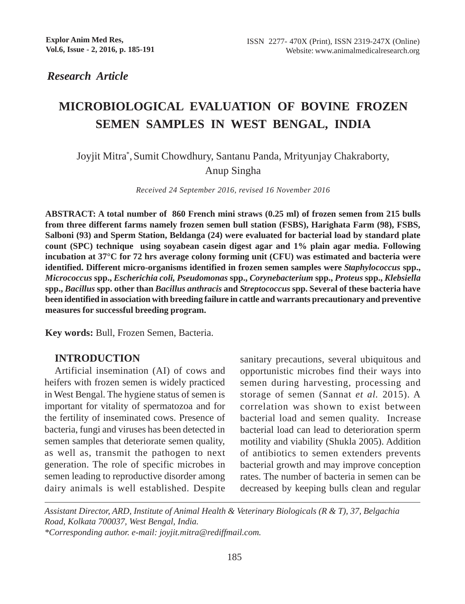*Research Article*

# **MICROBIOLOGICAL EVALUATION OF BOVINE FROZEN SEMEN SAMPLES IN WEST BENGAL, INDIA**

Joyjit Mitra\* ,Sumit Chowdhury, Santanu Panda, Mrityunjay Chakraborty, Anup Singha

*Received 24 September 2016, revised 16 November 2016*

**ABSTRACT: A total number of 860 French mini straws (0.25 ml) of frozen semen from 215 bulls from three different farms namely frozen semen bull station (FSBS), Harighata Farm (98), FSBS, Salboni (93) and Sperm Station, Beldanga (24) were evaluated for bacterial load by standard plate count (SPC) technique using soyabean casein digest agar and 1% plain agar media. Following incubation at 37°C for 72 hrs average colony forming unit (CFU) was estimated and bacteria were identified. Different micro-organisms identified in frozen semen samples were** *Staphylococcus* **spp.,** *Micrococcus* **spp.,** *Escherichia coli, Pseudomonas* **spp.,** *Corynebacterium* **spp.,** *Proteus* **spp.,** *Klebsiella* **spp.,** *Bacillus* **spp. other than** *Bacillus anthracis* **and** *Streptococcus* **spp. Several of these bacteria have been identified in association with breeding failure in cattle and warrants precautionary and preventive measures for successful breeding program.**

**Key words:** Bull, Frozen Semen, Bacteria.

# **INTRODUCTION**

Artificial insemination (AI) of cows and heifers with frozen semen is widely practiced in West Bengal. The hygiene status of semen is important for vitality of spermatozoa and for the fertility of inseminated cows. Presence of bacteria, fungi and viruses has been detected in semen samples that deteriorate semen quality, as well as, transmit the pathogen to next generation. The role of specific microbes in semen leading to reproductive disorder among dairy animals is well established. Despite sanitary precautions, several ubiquitous and opportunistic microbes find their ways into semen during harvesting, processing and storage of semen (Sannat *et al.* 2015). A correlation was shown to exist between bacterial load and semen quality. Increase bacterial load can lead to deterioration sperm motility and viability (Shukla 2005). Addition of antibiotics to semen extenders prevents bacterial growth and may improve conception rates. The number of bacteria in semen can be decreased by keeping bulls clean and regular

*Assistant Director, ARD, Institute of Animal Health & Veterinary Biologicals (R & T), 37, Belgachia Road, Kolkata 700037, West Bengal, India. \*Corresponding author. e-mail: joyjit.mitra@rediffmail.com.*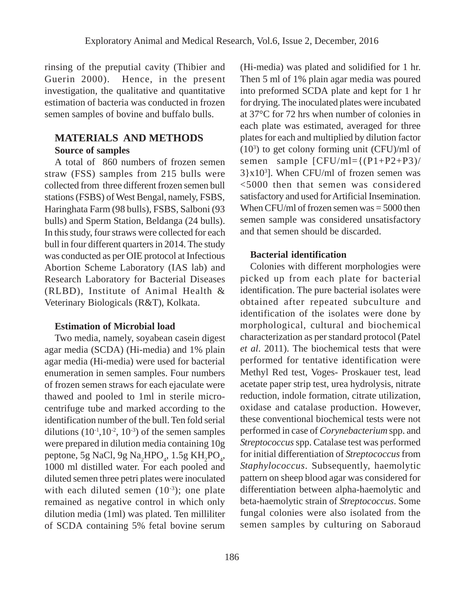rinsing of the preputial cavity (Thibier and Guerin 2000). Hence, in the present investigation, the qualitative and quantitative estimation of bacteria was conducted in frozen semen samples of bovine and buffalo bulls.

## **MATERIALS AND METHODS Source of samples**

A total of 860 numbers of frozen semen straw (FSS) samples from 215 bulls were collected from three different frozen semen bull stations (FSBS) of West Bengal, namely, FSBS, Haringhata Farm (98 bulls), FSBS, Salboni (93 bulls) and Sperm Station, Beldanga (24 bulls). In this study, four straws were collected for each bull in four different quarters in 2014. The study was conducted as per OIE protocol at Infectious Abortion Scheme Laboratory (IAS lab) and Research Laboratory for Bacterial Diseases (RLBD), Institute of Animal Health & Veterinary Biologicals (R&T), Kolkata.

#### **Estimation of Microbial load**

Two media, namely, soyabean casein digest agar media (SCDA) (Hi-media) and 1% plain agar media (Hi-media) were used for bacterial enumeration in semen samples. Four numbers of frozen semen straws for each ejaculate were thawed and pooled to 1ml in sterile microcentrifuge tube and marked according to the identification number of the bull. Ten fold serial dilutions  $(10^{-1}, 10^{-2}, 10^{-3})$  of the semen samples were prepared in dilution media containing 10g peptone, 5g NaCl, 9g Na<sub>2</sub>HPO<sub>4</sub>, 1.5g KH<sub>2</sub>PO<sub>4</sub>, 1000 ml distilled water. For each pooled and diluted semen three petri plates were inoculated with each diluted semen  $(10^{-3})$ ; one plate remained as negative control in which only dilution media (1ml) was plated. Ten milliliter of SCDA containing 5% fetal bovine serum (Hi-media) was plated and solidified for 1 hr. Then 5 ml of 1% plain agar media was poured into preformed SCDA plate and kept for 1 hr for drying. The inoculated plates were incubated at 37°C for 72 hrs when number of colonies in each plate was estimated, averaged for three plates for each and multiplied by dilution factor (103 ) to get colony forming unit (CFU)/ml of semen sample [CFU/ml={(P1+P2+P3)/  $3\}x10<sup>3</sup>$ ]. When CFU/ml of frozen semen was <5000 then that semen was considered satisfactory and used for Artificial Insemination. When CFU/ml of frozen semen was = 5000 then semen sample was considered unsatisfactory and that semen should be discarded.

## **Bacterial identification**

Colonies with different morphologies were picked up from each plate for bacterial identification. The pure bacterial isolates were obtained after repeated subculture and identification of the isolates were done by morphological, cultural and biochemical characterization as per standard protocol (Patel *et al*. 2011). The biochemical tests that were performed for tentative identification were Methyl Red test, Voges- Proskauer test, lead acetate paper strip test, urea hydrolysis, nitrate reduction, indole formation, citrate utilization, oxidase and catalase production. However, these conventional biochemical tests were not performed in case of *Corynebacterium* spp. and *Streptococcus* spp. Catalase test was performed for initial differentiation of *Streptococcus* from *Staphylococcus*. Subsequently, haemolytic pattern on sheep blood agar was considered for differentiation between alpha-haemolytic and beta-haemolytic strain of *Streptococcus*. Some fungal colonies were also isolated from the semen samples by culturing on Saboraud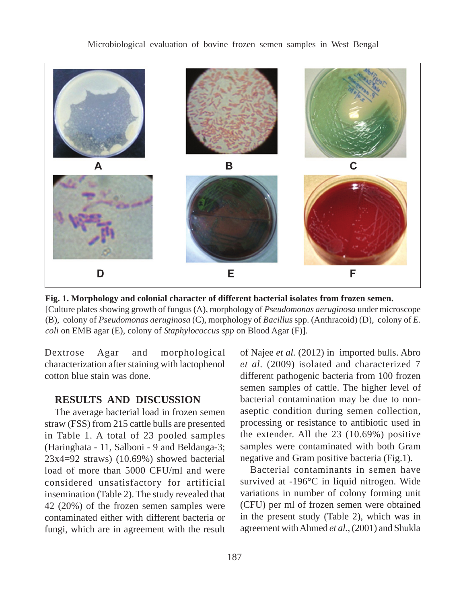

**Fig. 1. Morphology and colonial character of different bacterial isolates from frozen semen.** [Culture plates showing growth of fungus (A), morphology of *Pseudomonas aeruginosa* under microscope (B), colony of *Pseudomonas aeruginosa* (C), morphology of *Bacillus* spp. (Anthracoid) (D), colony of *E. coli* on EMB agar (E), colony of *Staphylococcus spp* on Blood Agar (F)].

Dextrose Agar and morphological characterization after staining with lactophenol cotton blue stain was done.

## **RESULTS AND DISCUSSION**

The average bacterial load in frozen semen straw (FSS) from 215 cattle bulls are presented in Table 1. A total of 23 pooled samples (Haringhata - 11, Salboni - 9 and Beldanga-3; 23x4=92 straws) (10.69%) showed bacterial load of more than 5000 CFU/ml and were considered unsatisfactory for artificial insemination (Table 2). The study revealed that 42 (20%) of the frozen semen samples were contaminated either with different bacteria or fungi, which are in agreement with the result of Najee *et al.* (2012) in imported bulls. Abro *et al.* (2009) isolated and characterized 7 different pathogenic bacteria from 100 frozen semen samples of cattle. The higher level of bacterial contamination may be due to nonaseptic condition during semen collection, processing or resistance to antibiotic used in the extender. All the 23 (10.69%) positive samples were contaminated with both Gram negative and Gram positive bacteria (Fig.1).

Bacterial contaminants in semen have survived at -196°C in liquid nitrogen. Wide variations in number of colony forming unit (CFU) per ml of frozen semen were obtained in the present study (Table 2), which was in agreement with Ahmed *et al.,* (2001) and Shukla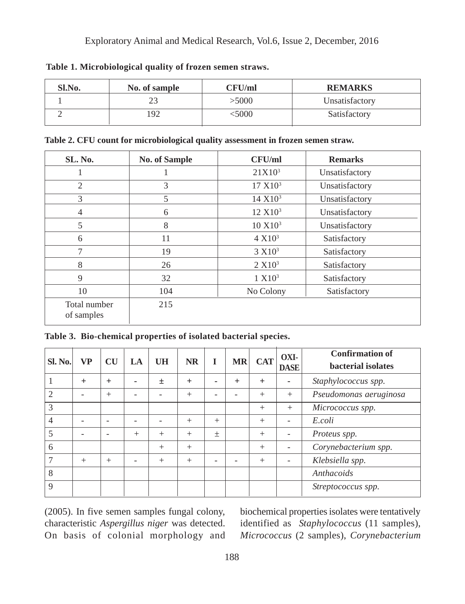| Sl.No. | No. of sample | CFU/ml | <b>REMARKS</b> |
|--------|---------------|--------|----------------|
|        |               | >5000  | Unsatisfactory |
|        | .92           | 5000   | Satisfactory   |

**Table 1. Microbiological quality of frozen semen straws.**

**Table 2. CFU count for microbiological quality assessment in frozen semen straw.**

| SL. No.                    | <b>No. of Sample</b> | CFU/ml                                | <b>Remarks</b> |
|----------------------------|----------------------|---------------------------------------|----------------|
|                            |                      | $21X10^3$                             | Unsatisfactory |
| 2                          | 3                    | 17 X10 <sup>3</sup>                   | Unsatisfactory |
| 3                          | 5                    | 14 X10 <sup>3</sup><br>Unsatisfactory |                |
| $\overline{4}$             | 6                    | 12 X10 <sup>3</sup>                   | Unsatisfactory |
| 5                          | 8                    | 10 X10 <sup>3</sup>                   | Unsatisfactory |
| 6                          | 11                   | $4 \times 10^3$                       | Satisfactory   |
| 7                          | 19                   | 3 X10 <sup>3</sup>                    | Satisfactory   |
| 8                          | 26                   | 2 X10 <sup>3</sup>                    | Satisfactory   |
| 9                          | 32                   | 1 X10 <sup>3</sup>                    | Satisfactory   |
| 10                         | 104                  | No Colony                             | Satisfactory   |
| Total number<br>of samples | 215                  |                                       |                |

**Table 3. Bio-chemical properties of isolated bacterial species.**

| <b>SI. No.</b> | <b>VP</b> | <b>CU</b> | LA     | UH  | <b>NR</b> | I      | <b>MR</b> | <b>CAT</b> | OXI-<br><b>DASE</b> | <b>Confirmation of</b><br>bacterial isolates |
|----------------|-----------|-----------|--------|-----|-----------|--------|-----------|------------|---------------------|----------------------------------------------|
|                | $^{+}$    | $+$       |        | 土   | $+$       | ۰      | $\ddot{}$ | $+$        | ۰                   | Staphylococcus spp.                          |
| $\mathfrak{D}$ |           | $^{+}$    |        |     | $^{+}$    |        |           | $^{+}$     | $+$                 | Pseudomonas aeruginosa                       |
| 3              |           |           |        |     |           |        |           | $^{+}$     | $+$                 | Micrococcus spp.                             |
| 4              |           |           |        |     | $^{+}$    | $^{+}$ |           | $^{+}$     | ۰                   | E.coli                                       |
|                |           | ٠         | $^{+}$ | $+$ | $^{+}$    | $\pm$  |           | $^{+}$     | ۰                   | Proteus spp.                                 |
| 6              |           |           |        | $+$ | $^{+}$    |        |           | $^{+}$     | ۰                   | Corynebacterium spp.                         |
|                | $^{+}$    | $^{+}$    |        | $+$ | $^{+}$    |        |           | $^{+}$     | -                   | Klebsiella spp.                              |
| 8              |           |           |        |     |           |        |           |            |                     | Anthacoids                                   |
| 9              |           |           |        |     |           |        |           |            |                     | Streptococcus spp.                           |

(2005). In five semen samples fungal colony, characteristic *Aspergillus niger* was detected. On basis of colonial morphology and

biochemical properties isolates were tentatively identified as *Staphylococcus* (11 samples), *Micrococcus* (2 samples), *Corynebacterium*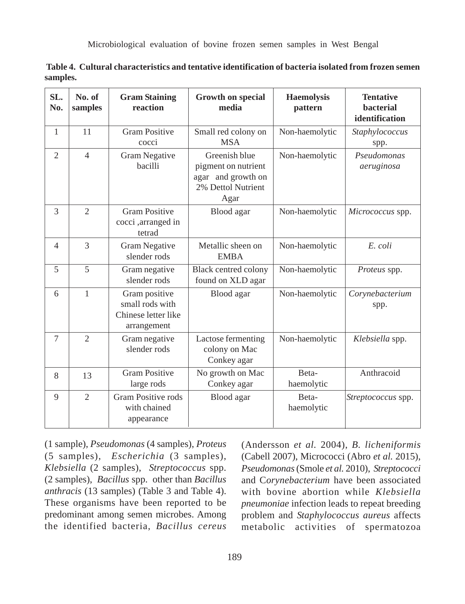Microbiological evaluation of bovine frozen semen samples in West Bengal

| SL.<br>No.     | No. of<br>samples | <b>Gram Staining</b><br>reaction                                       | <b>Growth on special</b><br>media                                                        | <b>Haemolysis</b><br>pattern | <b>Tentative</b><br>bacterial<br>identification |
|----------------|-------------------|------------------------------------------------------------------------|------------------------------------------------------------------------------------------|------------------------------|-------------------------------------------------|
| $\mathbf{1}$   | 11                | <b>Gram Positive</b><br>cocci                                          | Small red colony on<br><b>MSA</b>                                                        | Non-haemolytic               | Staphylococcus<br>spp.                          |
| $\overline{2}$ | $\overline{4}$    | Gram Negative<br>bacilli                                               | Greenish blue<br>pigment on nutrient<br>agar and growth on<br>2% Dettol Nutrient<br>Agar | Non-haemolytic               | Pseudomonas<br>aeruginosa                       |
| 3              | $\overline{2}$    | <b>Gram Positive</b><br>cocci, arranged in<br>tetrad                   | Blood agar                                                                               | Non-haemolytic               | Micrococcus spp.                                |
| $\overline{4}$ | $\overline{3}$    | <b>Gram Negative</b><br>slender rods                                   | Metallic sheen on<br><b>EMBA</b>                                                         | Non-haemolytic               | E. coli                                         |
| 5              | 5                 | Gram negative<br>slender rods                                          | <b>Black centred colony</b><br>found on XLD agar                                         | Non-haemolytic               | Proteus spp.                                    |
| 6              | 1                 | Gram positive<br>small rods with<br>Chinese letter like<br>arrangement | Blood agar                                                                               | Non-haemolytic               | Corynebacterium<br>spp.                         |
| $\tau$         | $\overline{c}$    | Gram negative<br>slender rods                                          | Lactose fermenting<br>colony on Mac<br>Conkey agar                                       | Non-haemolytic               | Klebsiella spp.                                 |
| 8              | 13                | <b>Gram Positive</b><br>large rods                                     | No growth on Mac<br>Conkey agar                                                          | Beta-<br>haemolytic          | Anthracoid                                      |
| 9              | $\mathfrak{2}$    | <b>Gram Positive rods</b><br>with chained<br>appearance                | Blood agar                                                                               | Beta-<br>haemolytic          | Streptococcus spp.                              |

 **Table 4. Cultural characteristics and tentative identification of bacteria isolated from frozen semen samples.**

(1 sample), *Pseudomonas* (4 samples), *Proteus* (5 samples), *Escherichia* (3 samples), *Klebsiella* (2 samples), *Streptococcus* spp. (2 samples), *Bacillus* spp. other than *Bacillus anthracis* (13 samples) (Table 3 and Table 4). These organisms have been reported to be predominant among semen microbes. Among the identified bacteria, *Bacillus cereus*

(Andersson *et al.* 2004), *B. licheniformis* (Cabell 2007), Micrococci (Abro *et al.* 2015), *Pseudomonas* (Smole *et al.* 2010), *Streptococci* and C*orynebacterium* have been associated with bovine abortion while *Klebsiella pneumoniae* infection leads to repeat breeding problem and *Staphylococcus aureus* affects metabolic activities of spermatozoa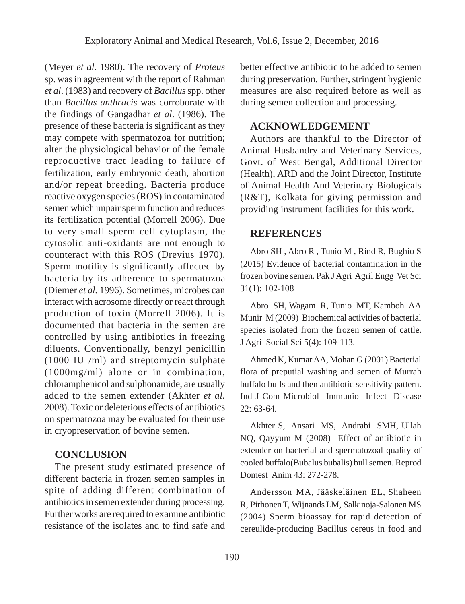(Meyer *et al*. 1980). The recovery of *Proteus* sp. was in agreement with the report of Rahman *et al*. (1983) and recovery of *Bacillus* spp. other than *Bacillus anthracis* was corroborate with the findings of Gangadhar *et al*. (1986). The presence of these bacteria is significant as they may compete with spermatozoa for nutrition; alter the physiological behavior of the female reproductive tract leading to failure of fertilization, early embryonic death, abortion and/or repeat breeding. Bacteria produce reactive oxygen species (ROS) in contaminated semen which impair sperm function and reduces its fertilization potential (Morrell 2006). Due to very small sperm cell cytoplasm, the cytosolic anti-oxidants are not enough to counteract with this ROS (Drevius 1970). Sperm motility is significantly affected by bacteria by its adherence to spermatozoa (Diemer *et al.* 1996). Sometimes, microbes can interact with acrosome directly or react through production of toxin (Morrell 2006). It is documented that bacteria in the semen are controlled by using antibiotics in freezing diluents. Conventionally, benzyl penicillin (1000 IU /ml) and streptomycin sulphate (1000mg/ml) alone or in combination, chloramphenicol and sulphonamide, are usually added to the semen extender (Akhter *et al.* 2008). Toxic or deleterious effects of antibiotics on spermatozoa may be evaluated for their use in cryopreservation of bovine semen.

## **CONCLUSION**

The present study estimated presence of different bacteria in frozen semen samples in spite of adding different combination of antibiotics in semen extender during processing. Further works are required to examine antibiotic resistance of the isolates and to find safe and

better effective antibiotic to be added to semen during preservation. Further, stringent hygienic measures are also required before as well as during semen collection and processing.

## **ACKNOWLEDGEMENT**

Authors are thankful to the Director of Animal Husbandry and Veterinary Services, Govt. of West Bengal, Additional Director (Health), ARD and the Joint Director, Institute of Animal Health And Veterinary Biologicals (R&T), Kolkata for giving permission and providing instrument facilities for this work.

### **REFERENCES**

Abro SH , Abro R , Tunio M , Rind R, Bughio S (2015) Evidence of bacterial contamination in the frozen bovine semen. Pak J Agri Agril Engg Vet Sci 31(1): 102-108

Abro SH, Wagam R, Tunio MT, Kamboh AA Munir M (2009) Biochemical activities of bacterial species isolated from the frozen semen of cattle. J Agri Social Sci 5(4): 109-113.

Ahmed K, Kumar AA, Mohan G (2001) Bacterial flora of preputial washing and semen of Murrah buffalo bulls and then antibiotic sensitivity pattern. Ind J Com Microbiol Immunio Infect Disease 22: 63-64.

Akhter S, Ansari MS, Andrabi SMH, Ullah NQ, Qayyum M (2008) Effect of antibiotic in extender on bacterial and spermatozoal quality of cooled buffalo(Bubalus bubalis) bull semen. Reprod Domest Anim 43: 272-278.

Andersson MA, Jääskeläinen EL, Shaheen R, Pirhonen T, Wijnands LM, Salkinoja-Salonen MS (2004) Sperm bioassay for rapid detection of cereulide-producing Bacillus cereus in food and